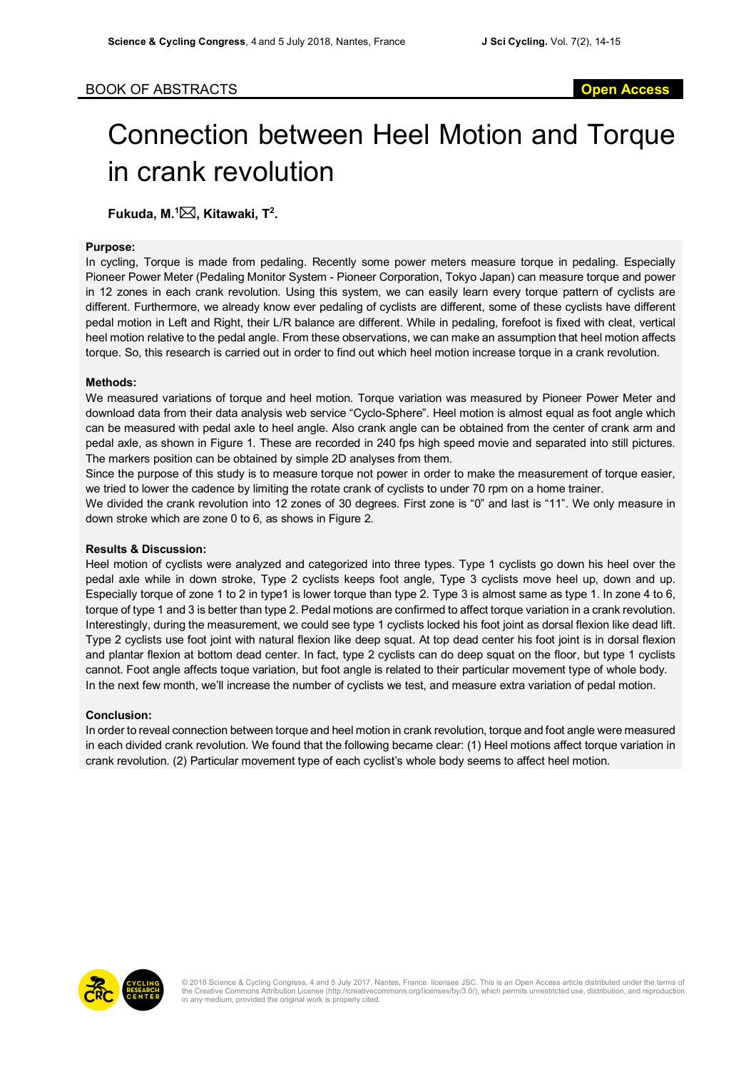# Connection between Heel Motion and Torque in crank revolution

# **Fukuda, M.<sup>1</sup>⊠, Kitawaki, T<sup>2</sup>.**

### **Purpose:**

In cycling, Torque is made from pedaling. Recently some power meters measure torque in pedaling. Especially Pioneer Power Meter (Pedaling Monitor System - Pioneer Corporation, Tokyo Japan) can measure torque and power in 12 zones in each crank revolution. Using this system, we can easily learn every torque pattern of cyclists are different. Furthermore, we already know ever pedaling of cyclists are different, some of these cyclists have different pedal motion in Left and Right, their L/R balance are different. While in pedaling, forefoot is fixed with cleat, vertical heel motion relative to the pedal angle. From these observations, we can make an assumption that heel motion affects torque. So, this research is carried out in order to find out which heel motion increase torque in a crank revolution.

## **Methods:**

We measured variations of torque and heel motion. Torque variation was measured by Pioneer Power Meter and download data from their data analysis web service "Cyclo-Sphere". Heel motion is almost equal as foot angle which can be measured with pedal axle to heel angle. Also crank angle can be obtained from the center of crank arm and pedal axle, as shown in Figure 1. These are recorded in 240 fps high speed movie and separated into still pictures. The markers position can be obtained by simple 2D analyses from them.

Since the purpose of this study is to measure torque not power in order to make the measurement of torque easier, we tried to lower the cadence by limiting the rotate crank of cyclists to under 70 rpm on a home trainer.

We divided the crank revolution into 12 zones of 30 degrees. First zone is "0" and last is "11". We only measure in down stroke which are zone 0 to 6, as shows in Figure 2.

#### **Results & Discussion:**

Heel motion of cyclists were analyzed and categorized into three types. Type 1 cyclists go down his heel over the pedal axle while in down stroke, Type 2 cyclists keeps foot angle, Type 3 cyclists move heel up, down and up. Especially torque of zone 1 to 2 in type1 is lower torque than type 2. Type 3 is almost same as type 1. In zone 4 to 6, torque of type 1 and 3 is better than type 2. Pedal motions are confirmed to affect torque variation in a crank revolution. Interestingly, during the measurement, we could see type 1 cyclists locked his foot joint as dorsal flexion like dead lift. Type 2 cyclists use foot joint with natural flexion like deep squat. At top dead center his foot joint is in dorsal flexion and plantar flexion at bottom dead center. In fact, type 2 cyclists can do deep squat on the floor, but type 1 cyclists cannot. Foot angle affects toque variation, but foot angle is related to their particular movement type of whole body. In the next few month, we'll increase the number of cyclists we test, and measure extra variation of pedal motion.

#### **Conclusion:**

In order to reveal connection between torque and heel motion in crank revolution, torque and foot angle were measured in each divided crank revolution. We found that the following became clear: (1) Heel motions affect torque variation in crank revolution. (2) Particular movement type of each cyclist's whole body seems to affect heel motion.